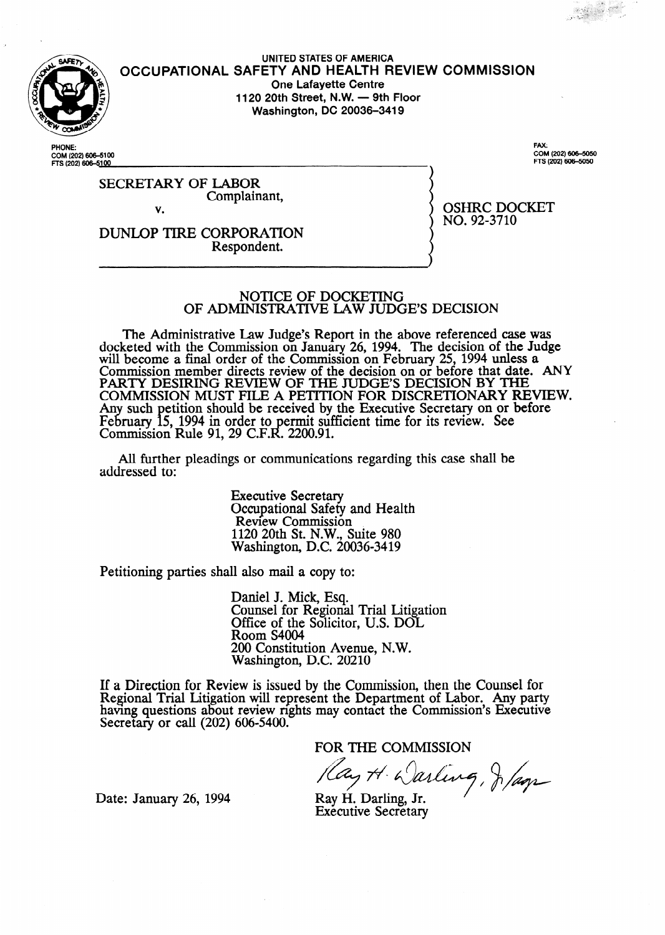

**UNITED STATES OF AMERICA OCCUPATIONAL SAFETY AND HEALTH REVIEW COMMISSION One Lafayette Centre 1120 20th Street, N.W. - 9th Floor Washington, DC 20036-3419** 

**PHONE:**  COM (202) 606–51<br>FTS (202) 60<del>6–</del>5<u>1</u>0

. COM (202) 606-5050 **FTS (202) 606-!5050** 

SECRETARY OF LABOR Complainant, v.

OSHRC DOCKET NO. 92-3710

DUNLOP TIRE CORPORATION Respondent.

#### NOTICE OF DOCKETING OF ADMINISTRATIVE LAW JUDGE'S DECISION

The Administrative Law Judge's Report in the above referenced case was docketed with the Commission on January 26, 1994. The decision of the Judge will become a final order of the Commission on February 25, 1994 unless a Commission member directs review of the decision on or before that date. ANY PARTY DESIRING REVIEW OF THE JUDGE'S DECISION BY THE COMMISSION MUST FILE A PETITION FOR DISCRETIONARY REVIEW. Any such petition should be received by the Executive Secretary on or before February 15, 1994 in order to permit sufficient time for its review. See Commission Rule 91, 29 C.F.R. 2200.91.

All further pleadings or communications regarding this case shall be addressed to:

> Executive Secretary Occupational Safety and Health Review Commission 1120 20th St. N.W., Suite 980 Washington, D.C. 20036-3419

Petitioning parties shall also mail a copy to:

Daniel J. Mick, Esq. Counsel for Regional Trial Litigation Office of the Solicitor, U.S. DOI Room S4004 200 Constitution Avenue, N.W. Washington, D.C. 20210

If a Direction for Review is issued by the Commission, then the Counsel for Regional Trial Litigation will represent the Department of Labor. Any party having questions about review rights may contact the Commission's Executive Secretary or call (202) 606-5400.

FOR THE COMMISSION<br>Pay H. Darling, J. Page

Date: January 26, 1994 Ray H. Darling, Jr.

Executive Secretary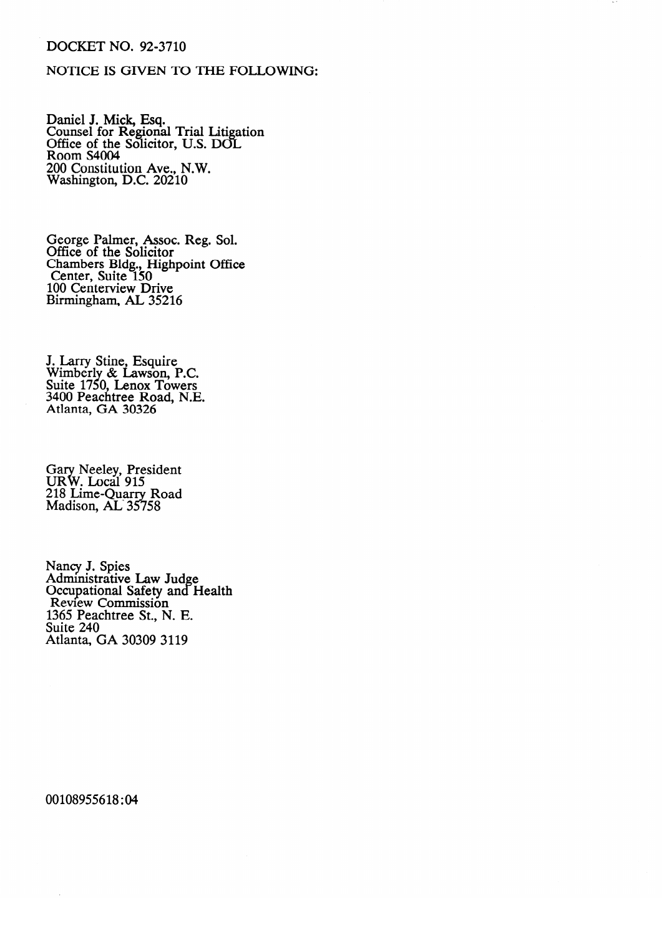# DOCKET NO. 92-3710

# NOTICE IS GIVEN TO THE FOLLOWING:

Daniel J. Mick, Esq.<br>Counsel for Regions Counsel for Regional Trial Litigation<br>Office of the Solicitor TTS DOI Office of the Solicitor, U.S. DOI<br>Room S4004 Room S4004<br>200 Constitut  $\sum_{n=1}^{\infty}$  Constitution *Ave.*, N.W. Washington, D.C. 20210

George Palmer, Assoc. Reg. Sol. Chambers Bldg., Higl Center, Suite  $150$ 100 Centerview Drive Birmingham, AL 35216

Wimberly  $\propto$  Lawson, Suite 1/50, Lenox 1 owers<br>2400 Beechtuse Beech N E  $3400$  Peachtree Road, N.I Atlanta, GA 30326

 $\rm \widetilde{21}$  $\overline{\text{Maldson}}$ . AL 357 : Local 713<br>ime-Ouarry Road  $R_{20}$ 

Occupational S Review Commission 1365 Peachtree St., N. E. Suite 240 Atlanta, GA 30309 3119

00108955618:04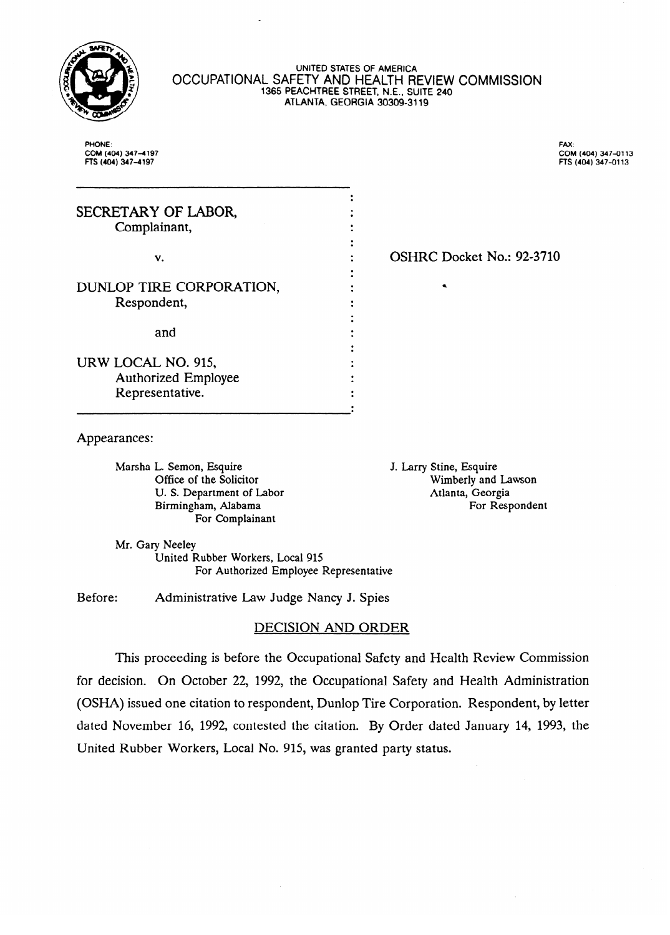

#### UNITED STATES OF **AMERICA**  OCCUPATIONAL SAFETY **AND HEALTH REVIEW** COMMISSION 1365 **PEACHTREE STREET,** ME., SUITE **240 ATLANTA, GEORGIA 30309-3119**

PHONE: **COM CTS** (404) 347-4197 ns (404) 3474197

 $\mathbb{R}^{\infty}$  : COM (404) 347-0113  $n = \frac{1}{2}$ 

| SECRETARY OF LABOR,      |                |
|--------------------------|----------------|
| Complainant,             |                |
|                          |                |
| v.                       | <b>OSHRC D</b> |
|                          |                |
| DUNLOP TIRE CORPORATION, |                |
| Respondent,              |                |
|                          |                |
| and                      |                |
|                          |                |
| URW LOCAL NO. 915,       |                |
| Authorized Employee      |                |
| Representative.          |                |
|                          |                |

: OSHRC Docket No.: 92-3710

 $\overline{A}$ 

Marsha L. Semon, Esquire Office of the Solicitor U. S. Department of Labor Birmingham, Alabama For Complainant

J. Larry Stine, Esquire Wimberly and Lawson Atlanta, Georgia For Respondent

For Respondent

Mr. Gary Neeley

United Rubber Workers, Local 915 For Authorized Employee Representative

Before: Administrative Law Judge Nancy J. Spies

### DECISION AND ORDER

This proceeding is before the Occupational Safety and Health Review Commission for decision. On October 22, 1992, the Occupational Safety and Health Administration (OSHA) issued one citation to respondent, Dunlop Tire Corporation. Respondent, by letter dated November 16, 1992, contested the citation. By Order dated January 14, 1993, the United Rubber Workers, Local No. 915, was granted party status.